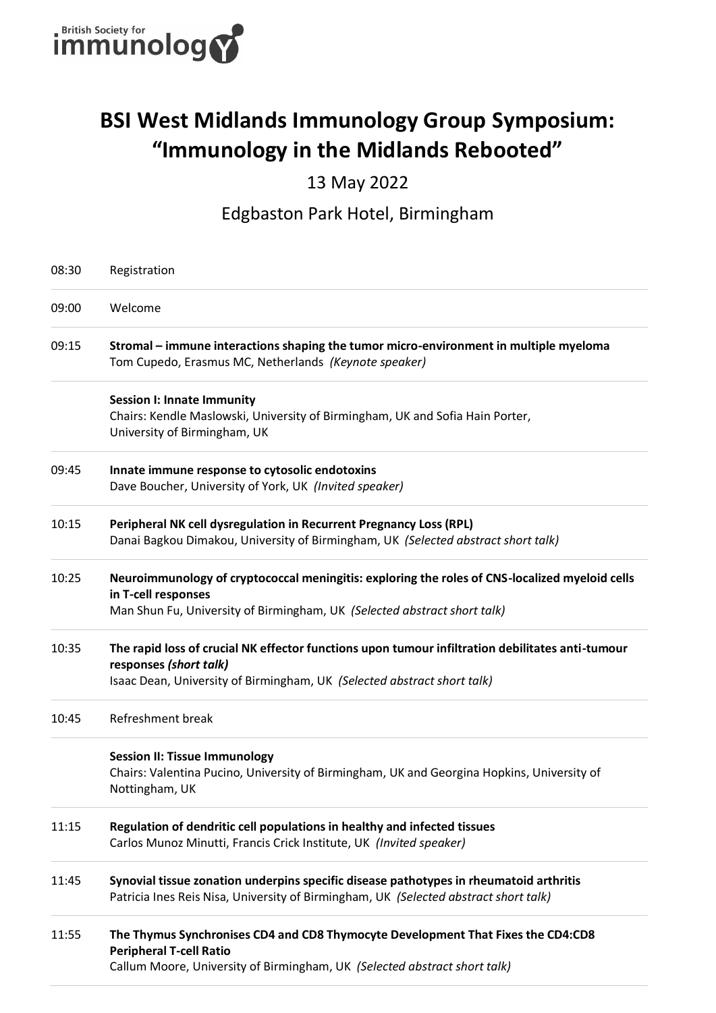

## **BSI West Midlands Immunology Group Symposium: "Immunology in the Midlands Rebooted"**

#### 13 May 2022

#### Edgbaston Park Hotel, Birmingham

| 08:30 | Registration                                                                                                                                                                                          |
|-------|-------------------------------------------------------------------------------------------------------------------------------------------------------------------------------------------------------|
| 09:00 | Welcome                                                                                                                                                                                               |
| 09:15 | Stromal – immune interactions shaping the tumor micro-environment in multiple myeloma<br>Tom Cupedo, Erasmus MC, Netherlands (Keynote speaker)                                                        |
|       | <b>Session I: Innate Immunity</b><br>Chairs: Kendle Maslowski, University of Birmingham, UK and Sofia Hain Porter,<br>University of Birmingham, UK                                                    |
| 09:45 | Innate immune response to cytosolic endotoxins<br>Dave Boucher, University of York, UK (Invited speaker)                                                                                              |
| 10:15 | Peripheral NK cell dysregulation in Recurrent Pregnancy Loss (RPL)<br>Danai Bagkou Dimakou, University of Birmingham, UK (Selected abstract short talk)                                               |
| 10:25 | Neuroimmunology of cryptococcal meningitis: exploring the roles of CNS-localized myeloid cells<br>in T-cell responses<br>Man Shun Fu, University of Birmingham, UK (Selected abstract short talk)     |
| 10:35 | The rapid loss of crucial NK effector functions upon tumour infiltration debilitates anti-tumour<br>responses (short talk)<br>Isaac Dean, University of Birmingham, UK (Selected abstract short talk) |
| 10:45 | Refreshment break                                                                                                                                                                                     |
|       | <b>Session II: Tissue Immunology</b><br>Chairs: Valentina Pucino, University of Birmingham, UK and Georgina Hopkins, University of<br>Nottingham, UK                                                  |
| 11:15 | Regulation of dendritic cell populations in healthy and infected tissues<br>Carlos Munoz Minutti, Francis Crick Institute, UK (Invited speaker)                                                       |
| 11:45 | Synovial tissue zonation underpins specific disease pathotypes in rheumatoid arthritis<br>Patricia Ines Reis Nisa, University of Birmingham, UK (Selected abstract short talk)                        |
| 11:55 | The Thymus Synchronises CD4 and CD8 Thymocyte Development That Fixes the CD4:CD8<br><b>Peripheral T-cell Ratio</b><br>Callum Moore, University of Birmingham, UK (Selected abstract short talk)       |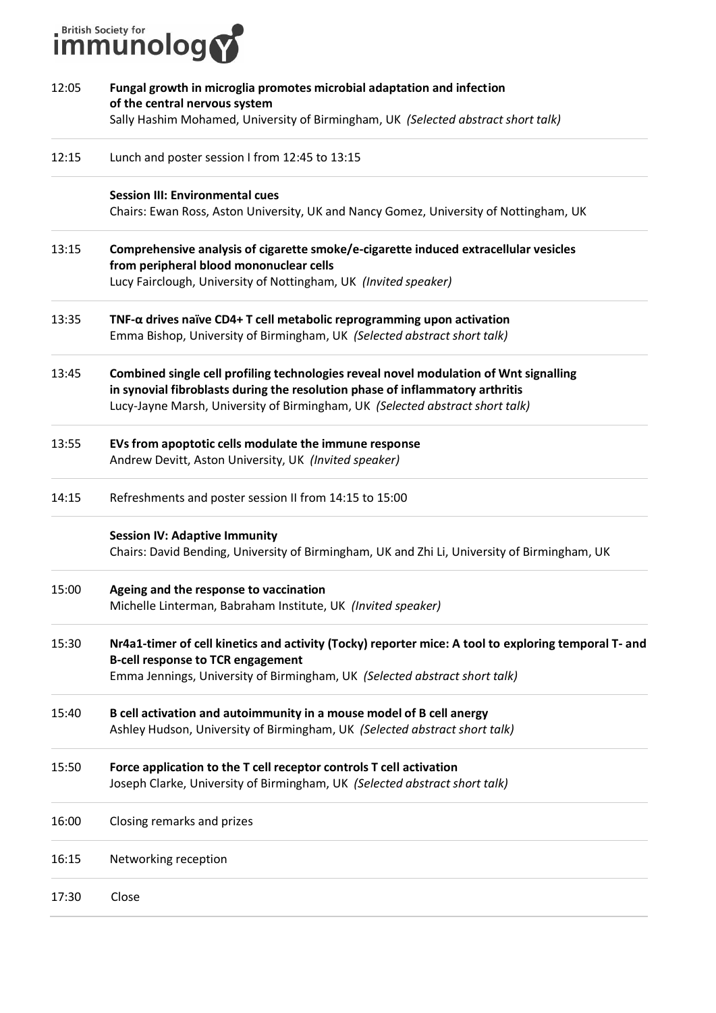# **immunology**

| 12:05 | Fungal growth in microglia promotes microbial adaptation and infection<br>of the central nervous system<br>Sally Hashim Mohamed, University of Birmingham, UK (Selected abstract short talk)                                                            |
|-------|---------------------------------------------------------------------------------------------------------------------------------------------------------------------------------------------------------------------------------------------------------|
| 12:15 | Lunch and poster session I from 12:45 to 13:15                                                                                                                                                                                                          |
|       | <b>Session III: Environmental cues</b><br>Chairs: Ewan Ross, Aston University, UK and Nancy Gomez, University of Nottingham, UK                                                                                                                         |
| 13:15 | Comprehensive analysis of cigarette smoke/e-cigarette induced extracellular vesicles<br>from peripheral blood mononuclear cells<br>Lucy Fairclough, University of Nottingham, UK (Invited speaker)                                                      |
| 13:35 | TNF- $\alpha$ drives naïve CD4+ T cell metabolic reprogramming upon activation<br>Emma Bishop, University of Birmingham, UK (Selected abstract short talk)                                                                                              |
| 13:45 | Combined single cell profiling technologies reveal novel modulation of Wnt signalling<br>in synovial fibroblasts during the resolution phase of inflammatory arthritis<br>Lucy-Jayne Marsh, University of Birmingham, UK (Selected abstract short talk) |
| 13:55 | EVs from apoptotic cells modulate the immune response<br>Andrew Devitt, Aston University, UK (Invited speaker)                                                                                                                                          |
| 14:15 | Refreshments and poster session II from 14:15 to 15:00                                                                                                                                                                                                  |
|       | <b>Session IV: Adaptive Immunity</b><br>Chairs: David Bending, University of Birmingham, UK and Zhi Li, University of Birmingham, UK                                                                                                                    |
| 15:00 | Ageing and the response to vaccination<br>Michelle Linterman, Babraham Institute, UK (Invited speaker)                                                                                                                                                  |
| 15:30 | Nr4a1-timer of cell kinetics and activity (Tocky) reporter mice: A tool to exploring temporal T- and<br><b>B-cell response to TCR engagement</b><br>Emma Jennings, University of Birmingham, UK (Selected abstract short talk)                          |
| 15:40 | B cell activation and autoimmunity in a mouse model of B cell anergy<br>Ashley Hudson, University of Birmingham, UK (Selected abstract short talk)                                                                                                      |
| 15:50 | Force application to the T cell receptor controls T cell activation<br>Joseph Clarke, University of Birmingham, UK (Selected abstract short talk)                                                                                                       |
| 16:00 | Closing remarks and prizes                                                                                                                                                                                                                              |
| 16:15 | Networking reception                                                                                                                                                                                                                                    |
| 17:30 | Close                                                                                                                                                                                                                                                   |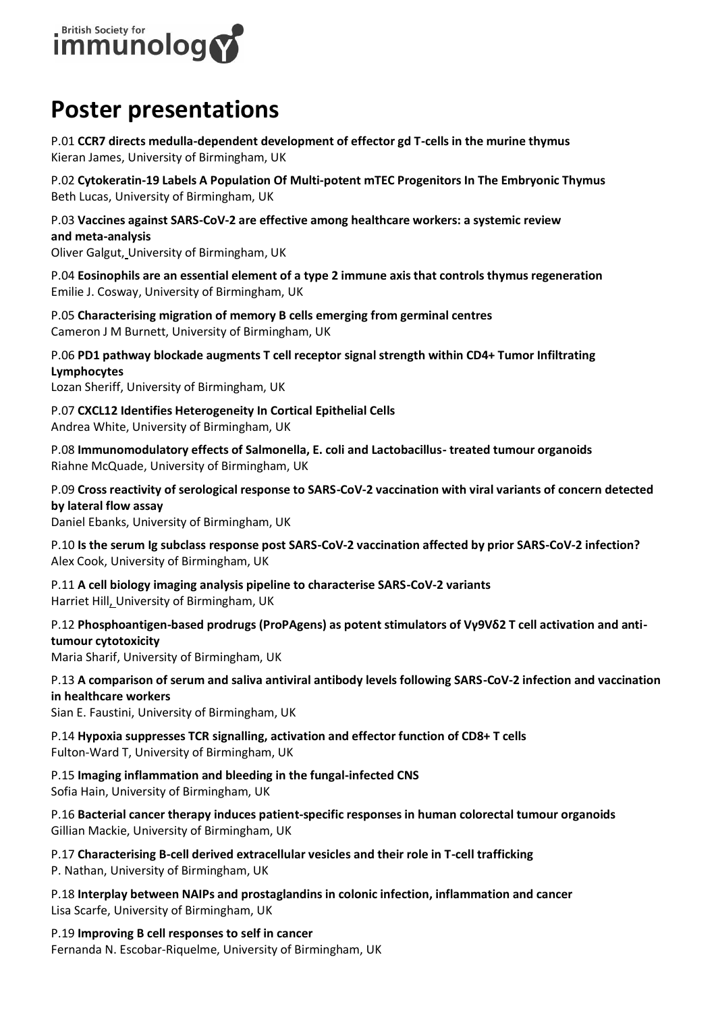

### **Poster presentations**

P.01 **CCR7 directs medulla-dependent development of effector gd T-cells in the murine thymus** Kieran James, University of Birmingham, UK

P.02 **Cytokeratin-19 Labels A Population Of Multi-potent mTEC Progenitors In The Embryonic Thymus** Beth Lucas, University of Birmingham, UK

P.03 **Vaccines against SARS-CoV-2 are effective among healthcare workers: a systemic review and meta-analysis**

Oliver Galgut, University of Birmingham, UK

P.04 **Eosinophils are an essential element of a type 2 immune axis that controls thymus regeneration** Emilie J. Cosway, University of Birmingham, UK

P.05 **Characterising migration of memory B cells emerging from germinal centres** Cameron J M Burnett, University of Birmingham, UK

P.06 **PD1 pathway blockade augments T cell receptor signal strength within CD4+ Tumor Infiltrating Lymphocytes**

Lozan Sheriff, University of Birmingham, UK

P.07 **CXCL12 Identifies Heterogeneity In Cortical Epithelial Cells** Andrea White, University of Birmingham, UK

P.08 **Immunomodulatory effects of Salmonella, E. coli and Lactobacillus- treated tumour organoids** Riahne McQuade, University of Birmingham, UK

P.09 **Cross reactivity of serological response to SARS-CoV-2 vaccination with viral variants of concern detected by lateral flow assay**

Daniel Ebanks, University of Birmingham, UK

P.10 **Is the serum Ig subclass response post SARS-CoV-2 vaccination affected by prior SARS-CoV-2 infection?** Alex Cook, University of Birmingham, UK

P.11 **A cell biology imaging analysis pipeline to characterise SARS-CoV-2 variants** Harriet Hill, University of Birmingham, UK

P.12 **Phosphoantigen-based prodrugs (ProPAgens) as potent stimulators of Vγ9Vδ2 T cell activation and antitumour cytotoxicity**

Maria Sharif, University of Birmingham, UK

P.13 **A comparison of serum and saliva antiviral antibody levels following SARS-CoV-2 infection and vaccination in healthcare workers**

Sian E. Faustini, University of Birmingham, UK

P.14 **Hypoxia suppresses TCR signalling, activation and effector function of CD8+ T cells** Fulton-Ward T, University of Birmingham, UK

P.15 **Imaging inflammation and bleeding in the fungal-infected CNS** Sofia Hain, University of Birmingham, UK

P.16 **Bacterial cancer therapy induces patient-specific responses in human colorectal tumour organoids** Gillian Mackie, University of Birmingham, UK

P.17 **Characterising B-cell derived extracellular vesicles and their role in T-cell trafficking**

P. Nathan, University of Birmingham, UK

P.18 **Interplay between NAIPs and prostaglandins in colonic infection, inflammation and cancer** Lisa Scarfe, University of Birmingham, UK

P.19 **Improving B cell responses to self in cancer** Fernanda N. Escobar-Riquelme, University of Birmingham, UK